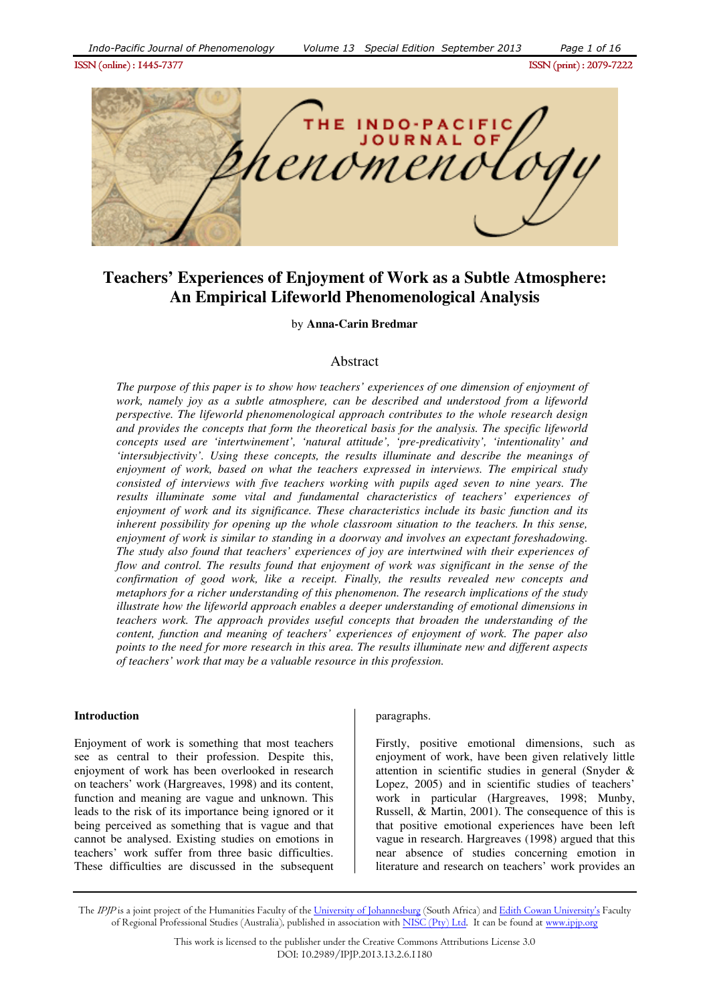

# **Teachers' Experiences of Enjoyment of Work as a Subtle Atmosphere: An Empirical Lifeworld Phenomenological Analysis**

by **Anna-Carin Bredmar**

## Abstract

*The purpose of this paper is to show how teachers' experiences of one dimension of enjoyment of work, namely joy as a subtle atmosphere, can be described and understood from a lifeworld perspective. The lifeworld phenomenological approach contributes to the whole research design and provides the concepts that form the theoretical basis for the analysis. The specific lifeworld concepts used are 'intertwinement', 'natural attitude', 'pre-predicativity', 'intentionality' and 'intersubjectivity'. Using these concepts, the results illuminate and describe the meanings of enjoyment of work, based on what the teachers expressed in interviews. The empirical study consisted of interviews with five teachers working with pupils aged seven to nine years. The results illuminate some vital and fundamental characteristics of teachers' experiences of enjoyment of work and its significance. These characteristics include its basic function and its inherent possibility for opening up the whole classroom situation to the teachers. In this sense, enjoyment of work is similar to standing in a doorway and involves an expectant foreshadowing. The study also found that teachers' experiences of joy are intertwined with their experiences of flow and control. The results found that enjoyment of work was significant in the sense of the confirmation of good work, like a receipt. Finally, the results revealed new concepts and metaphors for a richer understanding of this phenomenon. The research implications of the study illustrate how the lifeworld approach enables a deeper understanding of emotional dimensions in teachers work. The approach provides useful concepts that broaden the understanding of the content, function and meaning of teachers' experiences of enjoyment of work. The paper also points to the need for more research in this area. The results illuminate new and different aspects of teachers' work that may be a valuable resource in this profession.* 

#### **Introduction**

Enjoyment of work is something that most teachers see as central to their profession. Despite this, enjoyment of work has been overlooked in research on teachers' work (Hargreaves, 1998) and its content, function and meaning are vague and unknown. This leads to the risk of its importance being ignored or it being perceived as something that is vague and that cannot be analysed. Existing studies on emotions in teachers' work suffer from three basic difficulties. These difficulties are discussed in the subsequent

#### paragraphs.

Firstly, positive emotional dimensions, such as enjoyment of work, have been given relatively little attention in scientific studies in general (Snyder & Lopez, 2005) and in scientific studies of teachers' work in particular (Hargreaves, 1998; Munby, Russell, & Martin, 2001). The consequence of this is that positive emotional experiences have been left vague in research. Hargreaves (1998) argued that this near absence of studies concerning emotion in literature and research on teachers' work provides an

The IPJP is a joint project of the Humanities Faculty of the University of Johannesburg (South Africa) and Edith Cowan University's Faculty of Regional Professional Studies (Australia), published in association with NISC (Pty) Ltd. It can be found at www.ipjp.org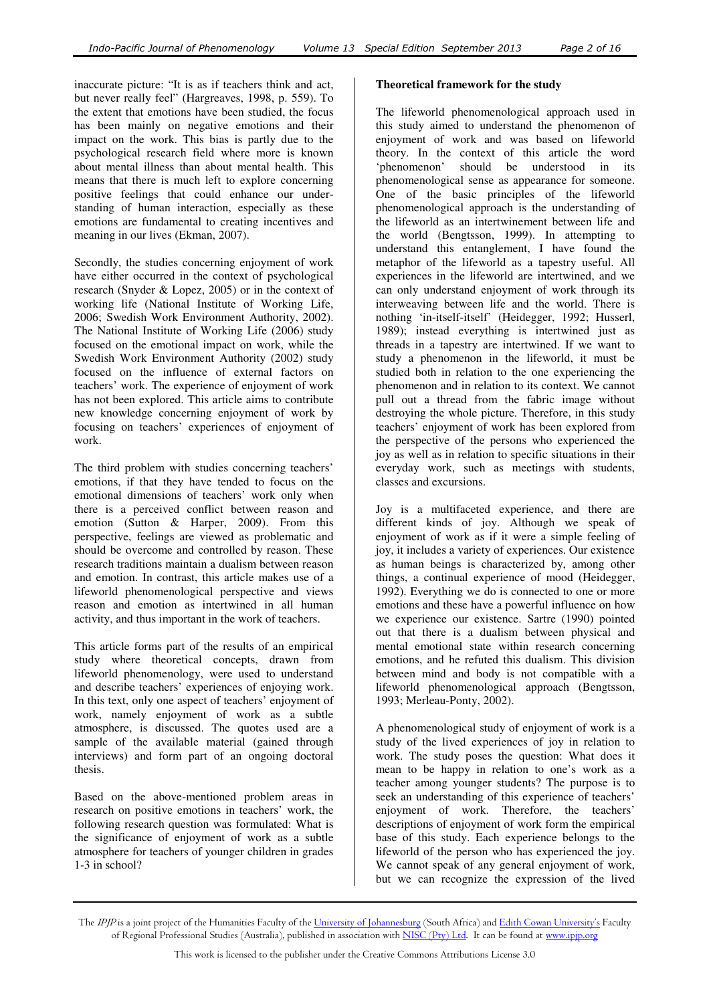inaccurate picture: "It is as if teachers think and act, but never really feel" (Hargreaves, 1998, p. 559). To the extent that emotions have been studied, the focus has been mainly on negative emotions and their impact on the work. This bias is partly due to the psychological research field where more is known about mental illness than about mental health. This means that there is much left to explore concerning positive feelings that could enhance our understanding of human interaction, especially as these emotions are fundamental to creating incentives and meaning in our lives (Ekman, 2007).

Secondly, the studies concerning enjoyment of work have either occurred in the context of psychological research (Snyder & Lopez, 2005) or in the context of working life (National Institute of Working Life, 2006; Swedish Work Environment Authority, 2002). The National Institute of Working Life (2006) study focused on the emotional impact on work, while the Swedish Work Environment Authority (2002) study focused on the influence of external factors on teachers' work. The experience of enjoyment of work has not been explored. This article aims to contribute new knowledge concerning enjoyment of work by focusing on teachers' experiences of enjoyment of work.

The third problem with studies concerning teachers' emotions, if that they have tended to focus on the emotional dimensions of teachers' work only when there is a perceived conflict between reason and emotion (Sutton & Harper, 2009). From this perspective, feelings are viewed as problematic and should be overcome and controlled by reason. These research traditions maintain a dualism between reason and emotion. In contrast, this article makes use of a lifeworld phenomenological perspective and views reason and emotion as intertwined in all human activity, and thus important in the work of teachers.

This article forms part of the results of an empirical study where theoretical concepts, drawn from lifeworld phenomenology, were used to understand and describe teachers' experiences of enjoying work. In this text, only one aspect of teachers' enjoyment of work, namely enjoyment of work as a subtle atmosphere, is discussed. The quotes used are a sample of the available material (gained through interviews) and form part of an ongoing doctoral thesis.

Based on the above-mentioned problem areas in research on positive emotions in teachers' work, the following research question was formulated: What is the significance of enjoyment of work as a subtle atmosphere for teachers of younger children in grades 1-3 in school?

# **Theoretical framework for the study**

The lifeworld phenomenological approach used in this study aimed to understand the phenomenon of enjoyment of work and was based on lifeworld theory. In the context of this article the word 'phenomenon' should be understood in its phenomenological sense as appearance for someone. One of the basic principles of the lifeworld phenomenological approach is the understanding of the lifeworld as an intertwinement between life and the world (Bengtsson, 1999). In attempting to understand this entanglement, I have found the metaphor of the lifeworld as a tapestry useful. All experiences in the lifeworld are intertwined, and we can only understand enjoyment of work through its interweaving between life and the world. There is nothing 'in-itself-itself' (Heidegger, 1992; Husserl, 1989); instead everything is intertwined just as threads in a tapestry are intertwined. If we want to study a phenomenon in the lifeworld, it must be studied both in relation to the one experiencing the phenomenon and in relation to its context. We cannot pull out a thread from the fabric image without destroying the whole picture. Therefore, in this study teachers' enjoyment of work has been explored from the perspective of the persons who experienced the joy as well as in relation to specific situations in their everyday work, such as meetings with students, classes and excursions.

Joy is a multifaceted experience, and there are different kinds of joy. Although we speak of enjoyment of work as if it were a simple feeling of joy, it includes a variety of experiences. Our existence as human beings is characterized by, among other things, a continual experience of mood (Heidegger, 1992). Everything we do is connected to one or more emotions and these have a powerful influence on how we experience our existence. Sartre (1990) pointed out that there is a dualism between physical and mental emotional state within research concerning emotions, and he refuted this dualism. This division between mind and body is not compatible with a lifeworld phenomenological approach (Bengtsson, 1993; Merleau-Ponty, 2002).

A phenomenological study of enjoyment of work is a study of the lived experiences of joy in relation to work. The study poses the question: What does it mean to be happy in relation to one's work as a teacher among younger students? The purpose is to seek an understanding of this experience of teachers' enjoyment of work. Therefore, the teachers' descriptions of enjoyment of work form the empirical base of this study. Each experience belongs to the lifeworld of the person who has experienced the joy. We cannot speak of any general enjoyment of work, but we can recognize the expression of the lived

The IPJP is a joint project of the Humanities Faculty of the University of Johannesburg (South Africa) and Edith Cowan University's Faculty of Regional Professional Studies (Australia), published in association with NISC (Pty) Ltd. It can be found at www.ipjp.org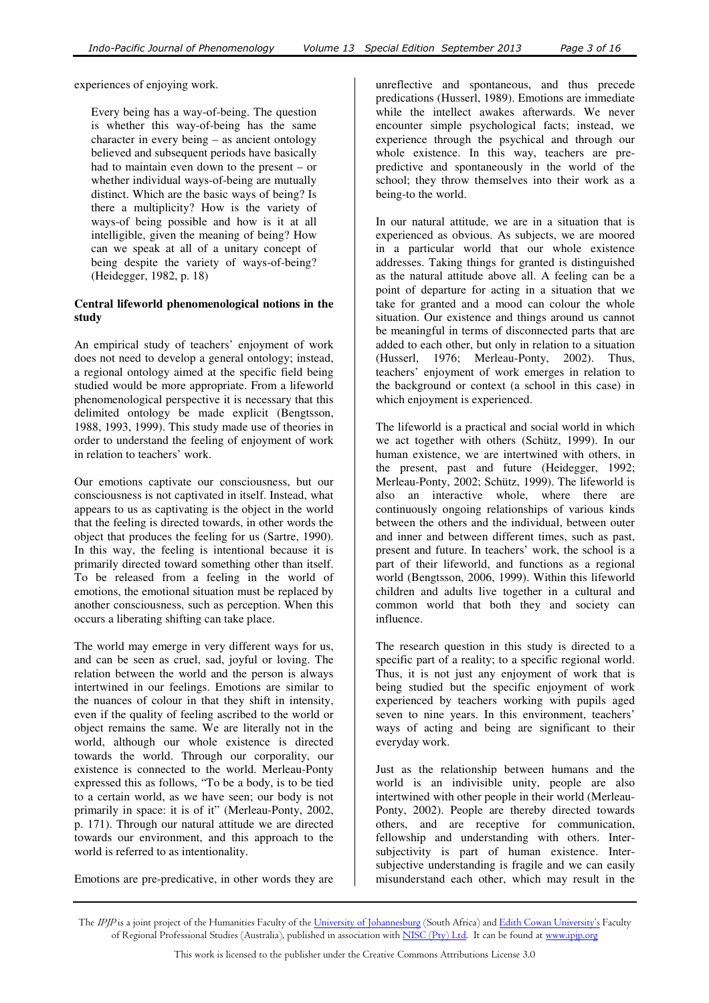experiences of enjoying work.

Every being has a way-of-being. The question is whether this way-of-being has the same character in every being – as ancient ontology believed and subsequent periods have basically had to maintain even down to the present – or whether individual ways-of-being are mutually distinct. Which are the basic ways of being? Is there a multiplicity? How is the variety of ways-of being possible and how is it at all intelligible, given the meaning of being? How can we speak at all of a unitary concept of being despite the variety of ways-of-being? (Heidegger, 1982, p. 18)

#### **Central lifeworld phenomenological notions in the study**

An empirical study of teachers' enjoyment of work does not need to develop a general ontology; instead, a regional ontology aimed at the specific field being studied would be more appropriate. From a lifeworld phenomenological perspective it is necessary that this delimited ontology be made explicit (Bengtsson, 1988, 1993, 1999). This study made use of theories in order to understand the feeling of enjoyment of work in relation to teachers' work.

Our emotions captivate our consciousness, but our consciousness is not captivated in itself. Instead, what appears to us as captivating is the object in the world that the feeling is directed towards, in other words the object that produces the feeling for us (Sartre, 1990). In this way, the feeling is intentional because it is primarily directed toward something other than itself. To be released from a feeling in the world of emotions, the emotional situation must be replaced by another consciousness, such as perception. When this occurs a liberating shifting can take place.

The world may emerge in very different ways for us, and can be seen as cruel, sad, joyful or loving. The relation between the world and the person is always intertwined in our feelings. Emotions are similar to the nuances of colour in that they shift in intensity, even if the quality of feeling ascribed to the world or object remains the same. We are literally not in the world, although our whole existence is directed towards the world. Through our corporality, our existence is connected to the world. Merleau-Ponty expressed this as follows, "To be a body, is to be tied to a certain world, as we have seen; our body is not primarily in space: it is of it" (Merleau-Ponty, 2002, p. 171). Through our natural attitude we are directed towards our environment, and this approach to the world is referred to as intentionality.

Emotions are pre-predicative, in other words they are

unreflective and spontaneous, and thus precede predications (Husserl, 1989). Emotions are immediate while the intellect awakes afterwards. We never encounter simple psychological facts; instead, we experience through the psychical and through our whole existence. In this way, teachers are prepredictive and spontaneously in the world of the school; they throw themselves into their work as a being-to the world.

In our natural attitude, we are in a situation that is experienced as obvious. As subjects, we are moored in a particular world that our whole existence addresses. Taking things for granted is distinguished as the natural attitude above all. A feeling can be a point of departure for acting in a situation that we take for granted and a mood can colour the whole situation. Our existence and things around us cannot be meaningful in terms of disconnected parts that are added to each other, but only in relation to a situation (Husserl, 1976; Merleau-Ponty, 2002). Thus, teachers' enjoyment of work emerges in relation to the background or context (a school in this case) in which enjoyment is experienced.

The lifeworld is a practical and social world in which we act together with others (Schütz, 1999). In our human existence, we are intertwined with others, in the present, past and future (Heidegger, 1992; Merleau-Ponty, 2002; Schütz, 1999). The lifeworld is also an interactive whole, where there are continuously ongoing relationships of various kinds between the others and the individual, between outer and inner and between different times, such as past, present and future. In teachers' work, the school is a part of their lifeworld, and functions as a regional world (Bengtsson, 2006, 1999). Within this lifeworld children and adults live together in a cultural and common world that both they and society can influence.

The research question in this study is directed to a specific part of a reality; to a specific regional world. Thus, it is not just any enjoyment of work that is being studied but the specific enjoyment of work experienced by teachers working with pupils aged seven to nine years. In this environment, teachers' ways of acting and being are significant to their everyday work.

Just as the relationship between humans and the world is an indivisible unity, people are also intertwined with other people in their world (Merleau-Ponty, 2002). People are thereby directed towards others, and are receptive for communication, fellowship and understanding with others. Intersubjectivity is part of human existence. Intersubjective understanding is fragile and we can easily misunderstand each other, which may result in the

The *IPJP* is a joint project of the Humanities Faculty of the <u>University of Johannesburg</u> (South Africa) and <u>Edith Cowan University's</u> Faculty of Regional Professional Studies (Australia), published in association with <u>NISC (Pty) Ltd</u>. It can be found at <u>www.ipjp.org</u>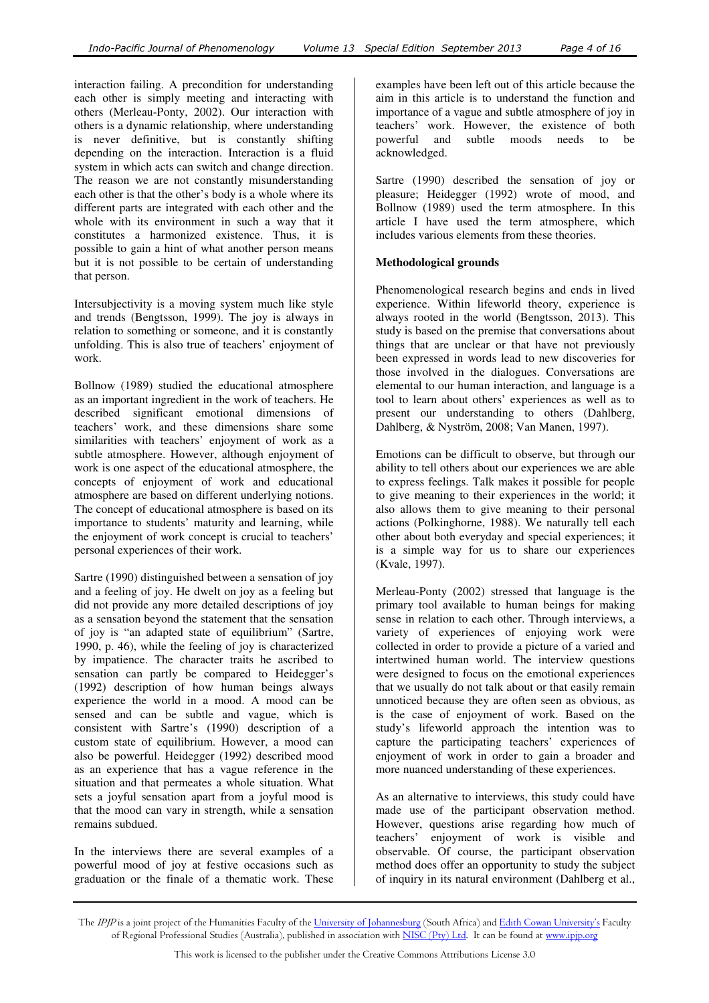interaction failing. A precondition for understanding each other is simply meeting and interacting with others (Merleau-Ponty, 2002). Our interaction with others is a dynamic relationship, where understanding is never definitive, but is constantly shifting depending on the interaction. Interaction is a fluid system in which acts can switch and change direction. The reason we are not constantly misunderstanding each other is that the other's body is a whole where its different parts are integrated with each other and the whole with its environment in such a way that it constitutes a harmonized existence. Thus, it is possible to gain a hint of what another person means but it is not possible to be certain of understanding that person.

Intersubjectivity is a moving system much like style and trends (Bengtsson, 1999). The joy is always in relation to something or someone, and it is constantly unfolding. This is also true of teachers' enjoyment of work.

Bollnow (1989) studied the educational atmosphere as an important ingredient in the work of teachers. He described significant emotional dimensions of teachers' work, and these dimensions share some similarities with teachers' enjoyment of work as a subtle atmosphere. However, although enjoyment of work is one aspect of the educational atmosphere, the concepts of enjoyment of work and educational atmosphere are based on different underlying notions. The concept of educational atmosphere is based on its importance to students' maturity and learning, while the enjoyment of work concept is crucial to teachers' personal experiences of their work.

Sartre (1990) distinguished between a sensation of joy and a feeling of joy. He dwelt on joy as a feeling but did not provide any more detailed descriptions of joy as a sensation beyond the statement that the sensation of joy is "an adapted state of equilibrium" (Sartre, 1990, p. 46), while the feeling of joy is characterized by impatience. The character traits he ascribed to sensation can partly be compared to Heidegger's (1992) description of how human beings always experience the world in a mood. A mood can be sensed and can be subtle and vague, which is consistent with Sartre's (1990) description of a custom state of equilibrium. However, a mood can also be powerful. Heidegger (1992) described mood as an experience that has a vague reference in the situation and that permeates a whole situation. What sets a joyful sensation apart from a joyful mood is that the mood can vary in strength, while a sensation remains subdued.

In the interviews there are several examples of a powerful mood of joy at festive occasions such as graduation or the finale of a thematic work. These

examples have been left out of this article because the aim in this article is to understand the function and importance of a vague and subtle atmosphere of joy in teachers' work. However, the existence of both powerful and subtle moods needs to be acknowledged.

Sartre (1990) described the sensation of joy or pleasure; Heidegger (1992) wrote of mood, and Bollnow (1989) used the term atmosphere. In this article I have used the term atmosphere, which includes various elements from these theories.

## **Methodological grounds**

Phenomenological research begins and ends in lived experience. Within lifeworld theory, experience is always rooted in the world (Bengtsson, 2013). This study is based on the premise that conversations about things that are unclear or that have not previously been expressed in words lead to new discoveries for those involved in the dialogues. Conversations are elemental to our human interaction, and language is a tool to learn about others' experiences as well as to present our understanding to others (Dahlberg, Dahlberg, & Nyström, 2008; Van Manen, 1997).

Emotions can be difficult to observe, but through our ability to tell others about our experiences we are able to express feelings. Talk makes it possible for people to give meaning to their experiences in the world; it also allows them to give meaning to their personal actions (Polkinghorne, 1988). We naturally tell each other about both everyday and special experiences; it is a simple way for us to share our experiences (Kvale, 1997).

Merleau-Ponty (2002) stressed that language is the primary tool available to human beings for making sense in relation to each other. Through interviews, a variety of experiences of enjoying work were collected in order to provide a picture of a varied and intertwined human world. The interview questions were designed to focus on the emotional experiences that we usually do not talk about or that easily remain unnoticed because they are often seen as obvious, as is the case of enjoyment of work. Based on the study's lifeworld approach the intention was to capture the participating teachers' experiences of enjoyment of work in order to gain a broader and more nuanced understanding of these experiences.

As an alternative to interviews, this study could have made use of the participant observation method. However, questions arise regarding how much of teachers' enjoyment of work is visible and observable. Of course, the participant observation method does offer an opportunity to study the subject of inquiry in its natural environment (Dahlberg et al.,

The *IPJP* is a joint project of the Humanities Faculty of the <u>University of Johannesburg</u> (South Africa) and <u>Edith Cowan University's</u> Faculty of Regional Professional Studies (Australia), published in association with <u>NISC (Pty) Ltd</u>. It can be found at <u>www.ipjp.org</u>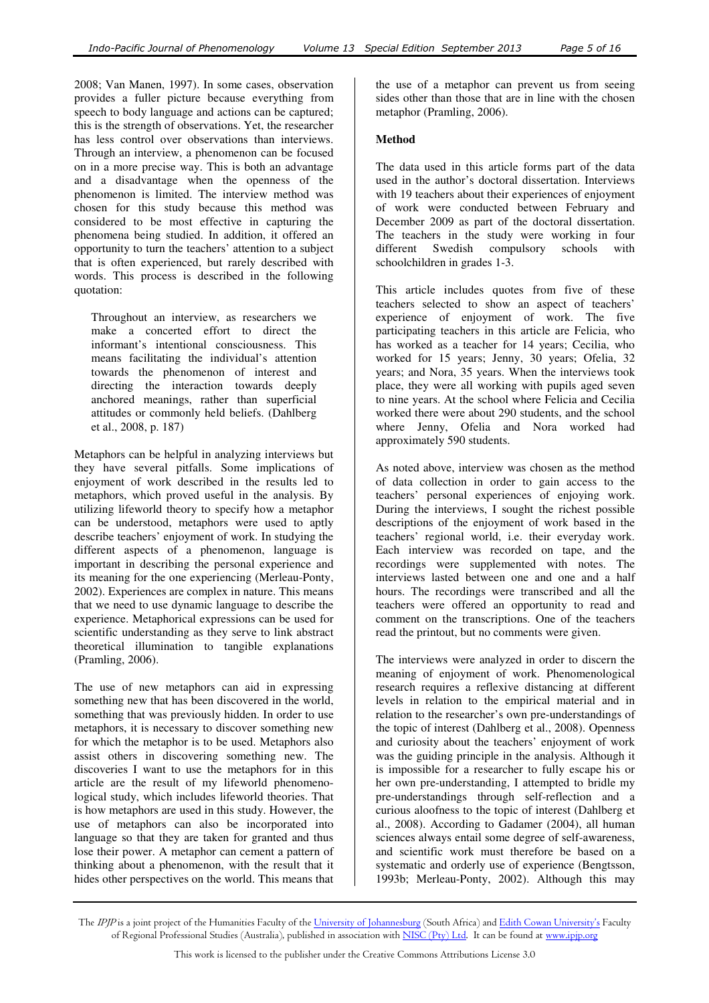2008; Van Manen, 1997). In some cases, observation provides a fuller picture because everything from speech to body language and actions can be captured; this is the strength of observations. Yet, the researcher has less control over observations than interviews. Through an interview, a phenomenon can be focused on in a more precise way. This is both an advantage and a disadvantage when the openness of the phenomenon is limited. The interview method was chosen for this study because this method was considered to be most effective in capturing the phenomena being studied. In addition, it offered an opportunity to turn the teachers' attention to a subject that is often experienced, but rarely described with words. This process is described in the following quotation:

Throughout an interview, as researchers we make a concerted effort to direct the informant's intentional consciousness. This means facilitating the individual's attention towards the phenomenon of interest and directing the interaction towards deeply anchored meanings, rather than superficial attitudes or commonly held beliefs. (Dahlberg et al., 2008, p. 187)

Metaphors can be helpful in analyzing interviews but they have several pitfalls. Some implications of enjoyment of work described in the results led to metaphors, which proved useful in the analysis. By utilizing lifeworld theory to specify how a metaphor can be understood, metaphors were used to aptly describe teachers' enjoyment of work. In studying the different aspects of a phenomenon, language is important in describing the personal experience and its meaning for the one experiencing (Merleau-Ponty, 2002). Experiences are complex in nature. This means that we need to use dynamic language to describe the experience. Metaphorical expressions can be used for scientific understanding as they serve to link abstract theoretical illumination to tangible explanations (Pramling, 2006).

The use of new metaphors can aid in expressing something new that has been discovered in the world, something that was previously hidden. In order to use metaphors, it is necessary to discover something new for which the metaphor is to be used. Metaphors also assist others in discovering something new. The discoveries I want to use the metaphors for in this article are the result of my lifeworld phenomenological study, which includes lifeworld theories. That is how metaphors are used in this study. However, the use of metaphors can also be incorporated into language so that they are taken for granted and thus lose their power. A metaphor can cement a pattern of thinking about a phenomenon, with the result that it hides other perspectives on the world. This means that

the use of a metaphor can prevent us from seeing sides other than those that are in line with the chosen metaphor (Pramling, 2006).

#### **Method**

The data used in this article forms part of the data used in the author's doctoral dissertation. Interviews with 19 teachers about their experiences of enjoyment of work were conducted between February and December 2009 as part of the doctoral dissertation. The teachers in the study were working in four different Swedish compulsory schools with schoolchildren in grades 1-3.

This article includes quotes from five of these teachers selected to show an aspect of teachers' experience of enjoyment of work. The five participating teachers in this article are Felicia, who has worked as a teacher for 14 years; Cecilia, who worked for 15 years; Jenny, 30 years; Ofelia, 32 years; and Nora, 35 years. When the interviews took place, they were all working with pupils aged seven to nine years. At the school where Felicia and Cecilia worked there were about 290 students, and the school where Jenny, Ofelia and Nora worked had approximately 590 students.

As noted above, interview was chosen as the method of data collection in order to gain access to the teachers' personal experiences of enjoying work. During the interviews, I sought the richest possible descriptions of the enjoyment of work based in the teachers' regional world, i.e. their everyday work. Each interview was recorded on tape, and the recordings were supplemented with notes. The interviews lasted between one and one and a half hours. The recordings were transcribed and all the teachers were offered an opportunity to read and comment on the transcriptions. One of the teachers read the printout, but no comments were given.

The interviews were analyzed in order to discern the meaning of enjoyment of work. Phenomenological research requires a reflexive distancing at different levels in relation to the empirical material and in relation to the researcher's own pre-understandings of the topic of interest (Dahlberg et al., 2008). Openness and curiosity about the teachers' enjoyment of work was the guiding principle in the analysis. Although it is impossible for a researcher to fully escape his or her own pre-understanding, I attempted to bridle my pre-understandings through self-reflection and a curious aloofness to the topic of interest (Dahlberg et al., 2008). According to Gadamer (2004), all human sciences always entail some degree of self-awareness, and scientific work must therefore be based on a systematic and orderly use of experience (Bengtsson, 1993b; Merleau-Ponty, 2002). Although this may

The IPJP is a joint project of the Humanities Faculty of the University of Johannesburg (South Africa) and Edith Cowan University's Faculty of Regional Professional Studies (Australia), published in association with NISC (Pty) Ltd. It can be found at www.ipjp.org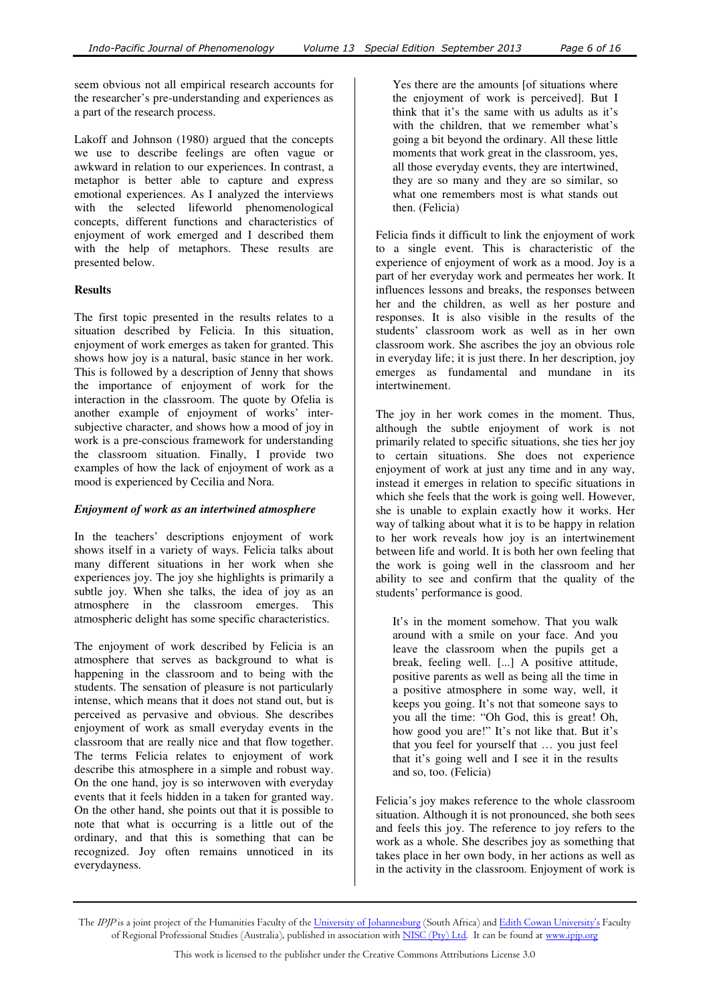seem obvious not all empirical research accounts for the researcher's pre-understanding and experiences as a part of the research process.

Lakoff and Johnson (1980) argued that the concepts we use to describe feelings are often vague or awkward in relation to our experiences. In contrast, a metaphor is better able to capture and express emotional experiences. As I analyzed the interviews with the selected lifeworld phenomenological concepts, different functions and characteristics of enjoyment of work emerged and I described them with the help of metaphors. These results are presented below.

## **Results**

The first topic presented in the results relates to a situation described by Felicia. In this situation, enjoyment of work emerges as taken for granted. This shows how joy is a natural, basic stance in her work. This is followed by a description of Jenny that shows the importance of enjoyment of work for the interaction in the classroom. The quote by Ofelia is another example of enjoyment of works' intersubjective character, and shows how a mood of joy in work is a pre-conscious framework for understanding the classroom situation. Finally, I provide two examples of how the lack of enjoyment of work as a mood is experienced by Cecilia and Nora.

## *Enjoyment of work as an intertwined atmosphere*

In the teachers' descriptions enjoyment of work shows itself in a variety of ways. Felicia talks about many different situations in her work when she experiences joy. The joy she highlights is primarily a subtle joy. When she talks, the idea of joy as an atmosphere in the classroom emerges. This atmospheric delight has some specific characteristics.

The enjoyment of work described by Felicia is an atmosphere that serves as background to what is happening in the classroom and to being with the students. The sensation of pleasure is not particularly intense, which means that it does not stand out, but is perceived as pervasive and obvious. She describes enjoyment of work as small everyday events in the classroom that are really nice and that flow together. The terms Felicia relates to enjoyment of work describe this atmosphere in a simple and robust way. On the one hand, joy is so interwoven with everyday events that it feels hidden in a taken for granted way. On the other hand, she points out that it is possible to note that what is occurring is a little out of the ordinary, and that this is something that can be recognized. Joy often remains unnoticed in its everydayness.

Yes there are the amounts [of situations where the enjoyment of work is perceived]. But I think that it's the same with us adults as it's with the children, that we remember what's going a bit beyond the ordinary. All these little moments that work great in the classroom, yes, all those everyday events, they are intertwined, they are so many and they are so similar, so what one remembers most is what stands out then. (Felicia)

Felicia finds it difficult to link the enjoyment of work to a single event. This is characteristic of the experience of enjoyment of work as a mood. Joy is a part of her everyday work and permeates her work. It influences lessons and breaks, the responses between her and the children, as well as her posture and responses. It is also visible in the results of the students' classroom work as well as in her own classroom work. She ascribes the joy an obvious role in everyday life; it is just there. In her description, joy emerges as fundamental and mundane in its intertwinement.

The joy in her work comes in the moment. Thus, although the subtle enjoyment of work is not primarily related to specific situations, she ties her joy to certain situations. She does not experience enjoyment of work at just any time and in any way, instead it emerges in relation to specific situations in which she feels that the work is going well. However, she is unable to explain exactly how it works. Her way of talking about what it is to be happy in relation to her work reveals how joy is an intertwinement between life and world. It is both her own feeling that the work is going well in the classroom and her ability to see and confirm that the quality of the students' performance is good.

It's in the moment somehow. That you walk around with a smile on your face. And you leave the classroom when the pupils get a break, feeling well. [...] A positive attitude, positive parents as well as being all the time in a positive atmosphere in some way, well, it keeps you going. It's not that someone says to you all the time: "Oh God, this is great! Oh, how good you are!" It's not like that. But it's that you feel for yourself that … you just feel that it's going well and I see it in the results and so, too. (Felicia)

Felicia's joy makes reference to the whole classroom situation. Although it is not pronounced, she both sees and feels this joy. The reference to joy refers to the work as a whole. She describes joy as something that takes place in her own body, in her actions as well as in the activity in the classroom. Enjoyment of work is

The IPJP is a joint project of the Humanities Faculty of the University of Johannesburg (South Africa) and Edith Cowan University's Faculty of Regional Professional Studies (Australia), published in association with NISC (Pty) Ltd. It can be found at www.ipjp.org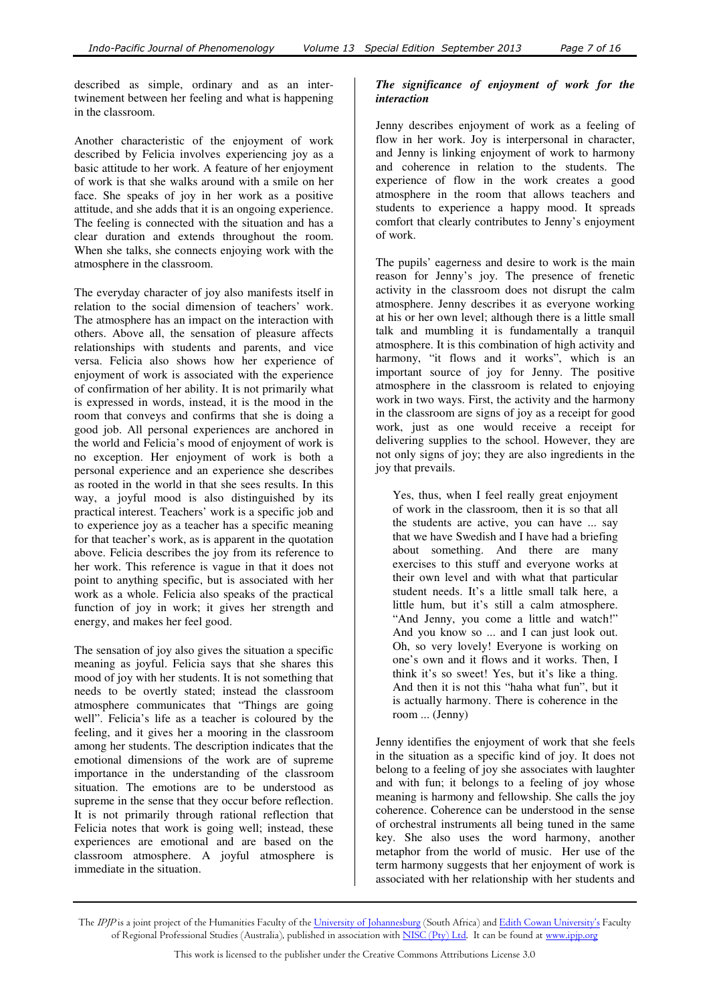described as simple, ordinary and as an intertwinement between her feeling and what is happening in the classroom.

Another characteristic of the enjoyment of work described by Felicia involves experiencing joy as a basic attitude to her work. A feature of her enjoyment of work is that she walks around with a smile on her face. She speaks of joy in her work as a positive attitude, and she adds that it is an ongoing experience. The feeling is connected with the situation and has a clear duration and extends throughout the room. When she talks, she connects enjoying work with the atmosphere in the classroom.

The everyday character of joy also manifests itself in relation to the social dimension of teachers' work. The atmosphere has an impact on the interaction with others. Above all, the sensation of pleasure affects relationships with students and parents, and vice versa. Felicia also shows how her experience of enjoyment of work is associated with the experience of confirmation of her ability. It is not primarily what is expressed in words, instead, it is the mood in the room that conveys and confirms that she is doing a good job. All personal experiences are anchored in the world and Felicia's mood of enjoyment of work is no exception. Her enjoyment of work is both a personal experience and an experience she describes as rooted in the world in that she sees results. In this way, a joyful mood is also distinguished by its practical interest. Teachers' work is a specific job and to experience joy as a teacher has a specific meaning for that teacher's work, as is apparent in the quotation above. Felicia describes the joy from its reference to her work. This reference is vague in that it does not point to anything specific, but is associated with her work as a whole. Felicia also speaks of the practical function of joy in work; it gives her strength and energy, and makes her feel good.

The sensation of joy also gives the situation a specific meaning as joyful. Felicia says that she shares this mood of joy with her students. It is not something that needs to be overtly stated; instead the classroom atmosphere communicates that "Things are going well". Felicia's life as a teacher is coloured by the feeling, and it gives her a mooring in the classroom among her students. The description indicates that the emotional dimensions of the work are of supreme importance in the understanding of the classroom situation. The emotions are to be understood as supreme in the sense that they occur before reflection. It is not primarily through rational reflection that Felicia notes that work is going well; instead, these experiences are emotional and are based on the classroom atmosphere. A joyful atmosphere is immediate in the situation.

# *The significance of enjoyment of work for the interaction*

Jenny describes enjoyment of work as a feeling of flow in her work. Joy is interpersonal in character, and Jenny is linking enjoyment of work to harmony and coherence in relation to the students. The experience of flow in the work creates a good atmosphere in the room that allows teachers and students to experience a happy mood. It spreads comfort that clearly contributes to Jenny's enjoyment of work.

The pupils' eagerness and desire to work is the main reason for Jenny's joy. The presence of frenetic activity in the classroom does not disrupt the calm atmosphere. Jenny describes it as everyone working at his or her own level; although there is a little small talk and mumbling it is fundamentally a tranquil atmosphere. It is this combination of high activity and harmony, "it flows and it works", which is an important source of joy for Jenny. The positive atmosphere in the classroom is related to enjoying work in two ways. First, the activity and the harmony in the classroom are signs of joy as a receipt for good work, just as one would receive a receipt for delivering supplies to the school. However, they are not only signs of joy; they are also ingredients in the joy that prevails.

Yes, thus, when I feel really great enjoyment of work in the classroom, then it is so that all the students are active, you can have ... say that we have Swedish and I have had a briefing about something. And there are many exercises to this stuff and everyone works at their own level and with what that particular student needs. It's a little small talk here, a little hum, but it's still a calm atmosphere. "And Jenny, you come a little and watch!" And you know so ... and I can just look out. Oh, so very lovely! Everyone is working on one's own and it flows and it works. Then, I think it's so sweet! Yes, but it's like a thing. And then it is not this "haha what fun", but it is actually harmony. There is coherence in the room ... (Jenny)

Jenny identifies the enjoyment of work that she feels in the situation as a specific kind of joy. It does not belong to a feeling of joy she associates with laughter and with fun; it belongs to a feeling of joy whose meaning is harmony and fellowship. She calls the joy coherence. Coherence can be understood in the sense of orchestral instruments all being tuned in the same key. She also uses the word harmony, another metaphor from the world of music. Her use of the term harmony suggests that her enjoyment of work is associated with her relationship with her students and

The IPJP is a joint project of the Humanities Faculty of the University of Johannesburg (South Africa) and Edith Cowan University's Faculty of Regional Professional Studies (Australia), published in association with NISC (Pty) Ltd. It can be found at www.ipjp.org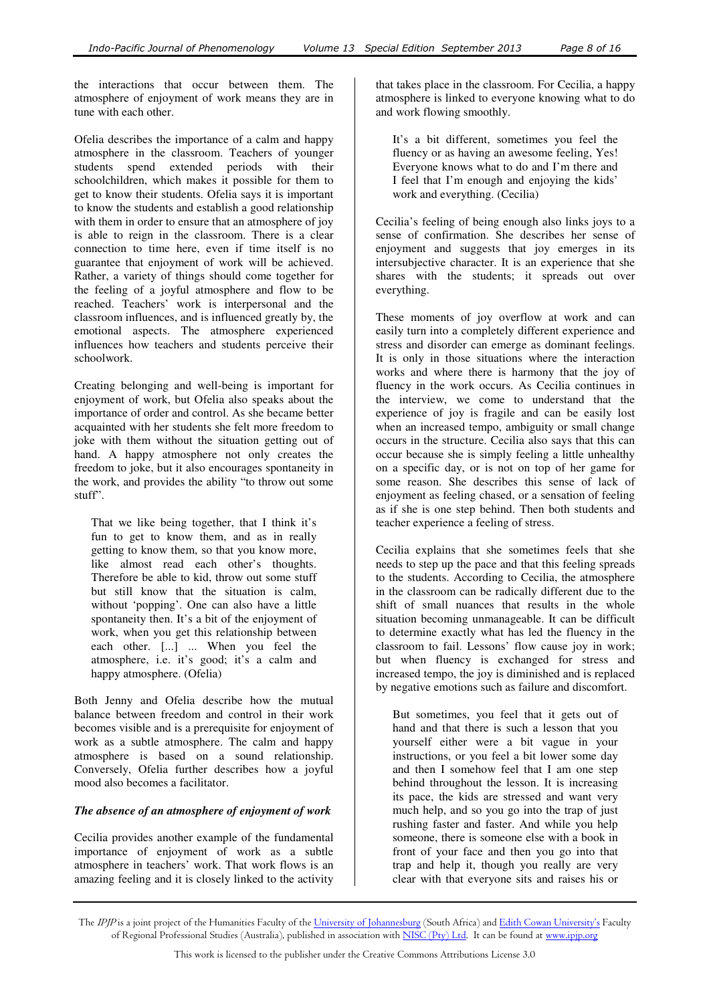the interactions that occur between them. The atmosphere of enjoyment of work means they are in tune with each other.

Ofelia describes the importance of a calm and happy atmosphere in the classroom. Teachers of younger students spend extended periods with their schoolchildren, which makes it possible for them to get to know their students. Ofelia says it is important to know the students and establish a good relationship with them in order to ensure that an atmosphere of joy is able to reign in the classroom. There is a clear connection to time here, even if time itself is no guarantee that enjoyment of work will be achieved. Rather, a variety of things should come together for the feeling of a joyful atmosphere and flow to be reached. Teachers' work is interpersonal and the classroom influences, and is influenced greatly by, the emotional aspects. The atmosphere experienced influences how teachers and students perceive their schoolwork.

Creating belonging and well-being is important for enjoyment of work, but Ofelia also speaks about the importance of order and control. As she became better acquainted with her students she felt more freedom to joke with them without the situation getting out of hand. A happy atmosphere not only creates the freedom to joke, but it also encourages spontaneity in the work, and provides the ability "to throw out some stuff".

That we like being together, that I think it's fun to get to know them, and as in really getting to know them, so that you know more, like almost read each other's thoughts. Therefore be able to kid, throw out some stuff but still know that the situation is calm, without 'popping'. One can also have a little spontaneity then. It's a bit of the enjoyment of work, when you get this relationship between each other. [...] ... When you feel the atmosphere, i.e. it's good; it's a calm and happy atmosphere. (Ofelia)

Both Jenny and Ofelia describe how the mutual balance between freedom and control in their work becomes visible and is a prerequisite for enjoyment of work as a subtle atmosphere. The calm and happy atmosphere is based on a sound relationship. Conversely, Ofelia further describes how a joyful mood also becomes a facilitator.

## *The absence of an atmosphere of enjoyment of work*

Cecilia provides another example of the fundamental importance of enjoyment of work as a subtle atmosphere in teachers' work. That work flows is an amazing feeling and it is closely linked to the activity

that takes place in the classroom. For Cecilia, a happy atmosphere is linked to everyone knowing what to do and work flowing smoothly.

It's a bit different, sometimes you feel the fluency or as having an awesome feeling, Yes! Everyone knows what to do and I'm there and I feel that I'm enough and enjoying the kids' work and everything. (Cecilia)

Cecilia's feeling of being enough also links joys to a sense of confirmation. She describes her sense of enjoyment and suggests that joy emerges in its intersubjective character. It is an experience that she shares with the students; it spreads out over everything.

These moments of joy overflow at work and can easily turn into a completely different experience and stress and disorder can emerge as dominant feelings. It is only in those situations where the interaction works and where there is harmony that the joy of fluency in the work occurs. As Cecilia continues in the interview, we come to understand that the experience of joy is fragile and can be easily lost when an increased tempo, ambiguity or small change occurs in the structure. Cecilia also says that this can occur because she is simply feeling a little unhealthy on a specific day, or is not on top of her game for some reason. She describes this sense of lack of enjoyment as feeling chased, or a sensation of feeling as if she is one step behind. Then both students and teacher experience a feeling of stress.

Cecilia explains that she sometimes feels that she needs to step up the pace and that this feeling spreads to the students. According to Cecilia, the atmosphere in the classroom can be radically different due to the shift of small nuances that results in the whole situation becoming unmanageable. It can be difficult to determine exactly what has led the fluency in the classroom to fail. Lessons' flow cause joy in work; but when fluency is exchanged for stress and increased tempo, the joy is diminished and is replaced by negative emotions such as failure and discomfort.

But sometimes, you feel that it gets out of hand and that there is such a lesson that you yourself either were a bit vague in your instructions, or you feel a bit lower some day and then I somehow feel that I am one step behind throughout the lesson. It is increasing its pace, the kids are stressed and want very much help, and so you go into the trap of just rushing faster and faster. And while you help someone, there is someone else with a book in front of your face and then you go into that trap and help it, though you really are very clear with that everyone sits and raises his or

The IPJP is a joint project of the Humanities Faculty of the University of Johannesburg (South Africa) and Edith Cowan University's Faculty of Regional Professional Studies (Australia), published in association with NISC (Pty) Ltd. It can be found at www.ipjp.org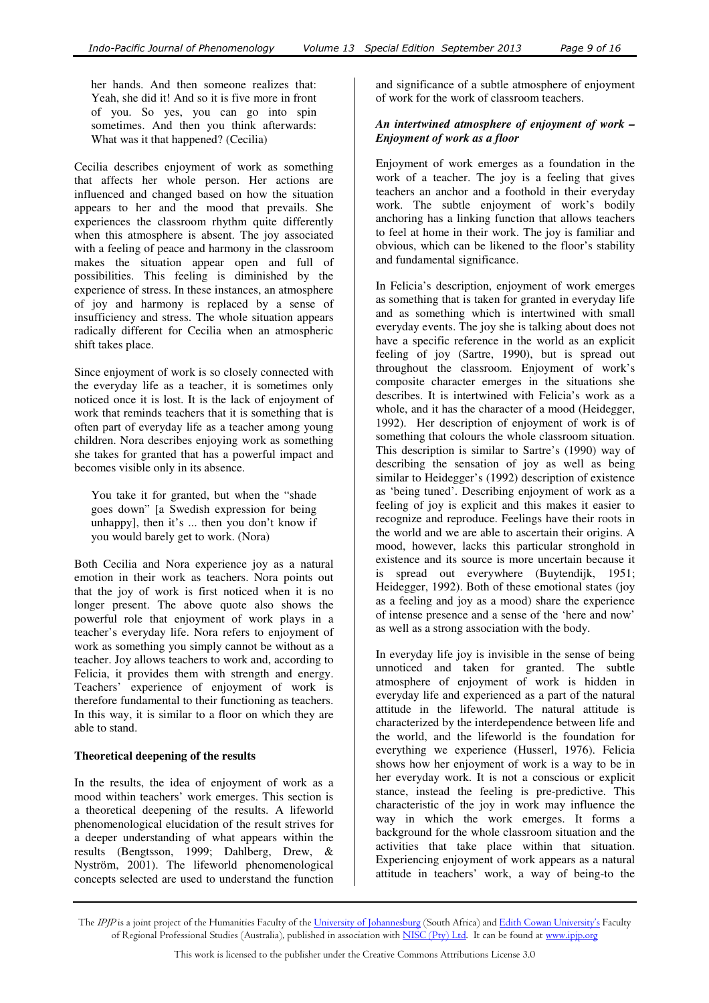her hands. And then someone realizes that: Yeah, she did it! And so it is five more in front of you. So yes, you can go into spin sometimes. And then you think afterwards: What was it that happened? (Cecilia)

Cecilia describes enjoyment of work as something that affects her whole person. Her actions are influenced and changed based on how the situation appears to her and the mood that prevails. She experiences the classroom rhythm quite differently when this atmosphere is absent. The joy associated with a feeling of peace and harmony in the classroom makes the situation appear open and full of possibilities. This feeling is diminished by the experience of stress. In these instances, an atmosphere of joy and harmony is replaced by a sense of insufficiency and stress. The whole situation appears radically different for Cecilia when an atmospheric shift takes place.

Since enjoyment of work is so closely connected with the everyday life as a teacher, it is sometimes only noticed once it is lost. It is the lack of enjoyment of work that reminds teachers that it is something that is often part of everyday life as a teacher among young children. Nora describes enjoying work as something she takes for granted that has a powerful impact and becomes visible only in its absence.

You take it for granted, but when the "shade goes down" [a Swedish expression for being unhappy], then it's ... then you don't know if you would barely get to work. (Nora)

Both Cecilia and Nora experience joy as a natural emotion in their work as teachers. Nora points out that the joy of work is first noticed when it is no longer present. The above quote also shows the powerful role that enjoyment of work plays in a teacher's everyday life. Nora refers to enjoyment of work as something you simply cannot be without as a teacher. Joy allows teachers to work and, according to Felicia, it provides them with strength and energy. Teachers' experience of enjoyment of work is therefore fundamental to their functioning as teachers. In this way, it is similar to a floor on which they are able to stand.

## **Theoretical deepening of the results**

In the results, the idea of enjoyment of work as a mood within teachers' work emerges. This section is a theoretical deepening of the results. A lifeworld phenomenological elucidation of the result strives for a deeper understanding of what appears within the results (Bengtsson, 1999; Dahlberg, Drew, & Nyström, 2001). The lifeworld phenomenological concepts selected are used to understand the function

and significance of a subtle atmosphere of enjoyment of work for the work of classroom teachers.

#### *An intertwined atmosphere of enjoyment of work – Enjoyment of work as a floor*

Enjoyment of work emerges as a foundation in the work of a teacher. The joy is a feeling that gives teachers an anchor and a foothold in their everyday work. The subtle enjoyment of work's bodily anchoring has a linking function that allows teachers to feel at home in their work. The joy is familiar and obvious, which can be likened to the floor's stability and fundamental significance.

In Felicia's description, enjoyment of work emerges as something that is taken for granted in everyday life and as something which is intertwined with small everyday events. The joy she is talking about does not have a specific reference in the world as an explicit feeling of joy (Sartre, 1990), but is spread out throughout the classroom. Enjoyment of work's composite character emerges in the situations she describes. It is intertwined with Felicia's work as a whole, and it has the character of a mood (Heidegger, 1992). Her description of enjoyment of work is of something that colours the whole classroom situation. This description is similar to Sartre's (1990) way of describing the sensation of joy as well as being similar to Heidegger's (1992) description of existence as 'being tuned'. Describing enjoyment of work as a feeling of joy is explicit and this makes it easier to recognize and reproduce. Feelings have their roots in the world and we are able to ascertain their origins. A mood, however, lacks this particular stronghold in existence and its source is more uncertain because it is spread out everywhere (Buytendijk, 1951; Heidegger, 1992). Both of these emotional states (joy as a feeling and joy as a mood) share the experience of intense presence and a sense of the 'here and now' as well as a strong association with the body.

In everyday life joy is invisible in the sense of being unnoticed and taken for granted. The subtle atmosphere of enjoyment of work is hidden in everyday life and experienced as a part of the natural attitude in the lifeworld. The natural attitude is characterized by the interdependence between life and the world, and the lifeworld is the foundation for everything we experience (Husserl, 1976). Felicia shows how her enjoyment of work is a way to be in her everyday work. It is not a conscious or explicit stance, instead the feeling is pre-predictive. This characteristic of the joy in work may influence the way in which the work emerges. It forms a background for the whole classroom situation and the activities that take place within that situation. Experiencing enjoyment of work appears as a natural attitude in teachers' work, a way of being-to the

The *IPJP* is a joint project of the Humanities Faculty of the <u>University of Johannesburg</u> (South Africa) and <u>Edith Cowan University's</u> Faculty of Regional Professional Studies (Australia), published in association with <u>NISC (Pty) Ltd</u>. It can be found at <u>www.ipjp.org</u>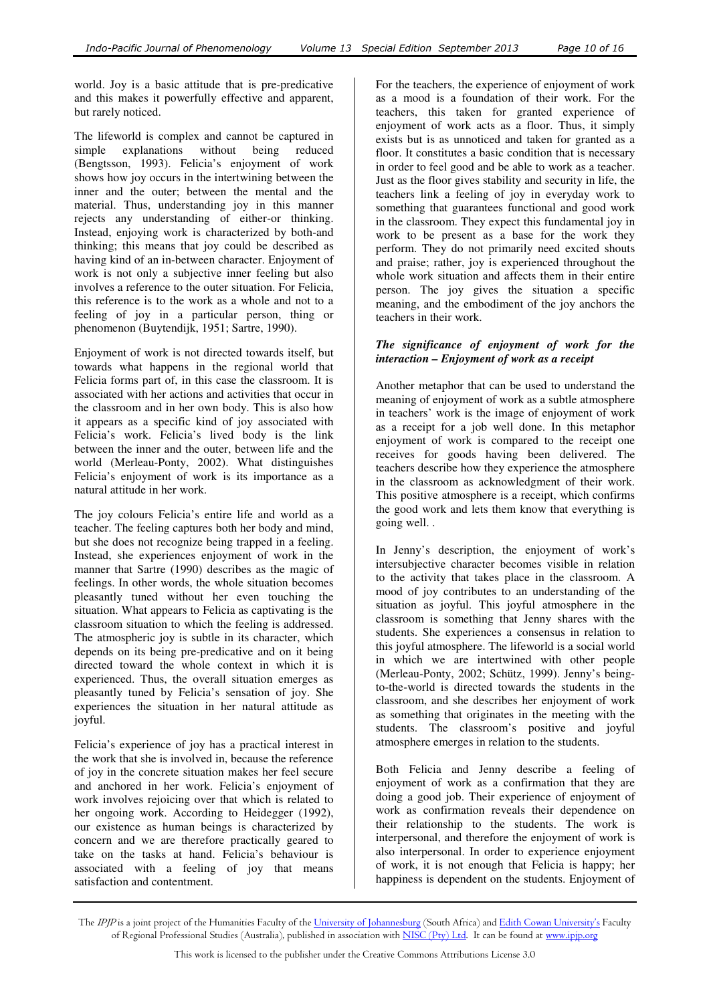world. Joy is a basic attitude that is pre-predicative and this makes it powerfully effective and apparent, but rarely noticed.

The lifeworld is complex and cannot be captured in simple explanations without being reduced (Bengtsson, 1993). Felicia's enjoyment of work shows how joy occurs in the intertwining between the inner and the outer; between the mental and the material. Thus, understanding joy in this manner rejects any understanding of either-or thinking. Instead, enjoying work is characterized by both-and thinking; this means that joy could be described as having kind of an in-between character. Enjoyment of work is not only a subjective inner feeling but also involves a reference to the outer situation. For Felicia, this reference is to the work as a whole and not to a feeling of joy in a particular person, thing or phenomenon (Buytendijk, 1951; Sartre, 1990).

Enjoyment of work is not directed towards itself, but towards what happens in the regional world that Felicia forms part of, in this case the classroom. It is associated with her actions and activities that occur in the classroom and in her own body. This is also how it appears as a specific kind of joy associated with Felicia's work. Felicia's lived body is the link between the inner and the outer, between life and the world (Merleau-Ponty, 2002). What distinguishes Felicia's enjoyment of work is its importance as a natural attitude in her work.

The joy colours Felicia's entire life and world as a teacher. The feeling captures both her body and mind, but she does not recognize being trapped in a feeling. Instead, she experiences enjoyment of work in the manner that Sartre (1990) describes as the magic of feelings. In other words, the whole situation becomes pleasantly tuned without her even touching the situation. What appears to Felicia as captivating is the classroom situation to which the feeling is addressed. The atmospheric joy is subtle in its character, which depends on its being pre-predicative and on it being directed toward the whole context in which it is experienced. Thus, the overall situation emerges as pleasantly tuned by Felicia's sensation of joy. She experiences the situation in her natural attitude as joyful.

Felicia's experience of joy has a practical interest in the work that she is involved in, because the reference of joy in the concrete situation makes her feel secure and anchored in her work. Felicia's enjoyment of work involves rejoicing over that which is related to her ongoing work. According to Heidegger (1992), our existence as human beings is characterized by concern and we are therefore practically geared to take on the tasks at hand. Felicia's behaviour is associated with a feeling of joy that means satisfaction and contentment.

For the teachers, the experience of enjoyment of work as a mood is a foundation of their work. For the teachers, this taken for granted experience of enjoyment of work acts as a floor. Thus, it simply exists but is as unnoticed and taken for granted as a floor. It constitutes a basic condition that is necessary in order to feel good and be able to work as a teacher. Just as the floor gives stability and security in life, the teachers link a feeling of joy in everyday work to something that guarantees functional and good work in the classroom. They expect this fundamental joy in work to be present as a base for the work they perform. They do not primarily need excited shouts and praise; rather, joy is experienced throughout the whole work situation and affects them in their entire person. The joy gives the situation a specific meaning, and the embodiment of the joy anchors the teachers in their work.

## *The significance of enjoyment of work for the interaction – Enjoyment of work as a receipt*

Another metaphor that can be used to understand the meaning of enjoyment of work as a subtle atmosphere in teachers' work is the image of enjoyment of work as a receipt for a job well done. In this metaphor enjoyment of work is compared to the receipt one receives for goods having been delivered. The teachers describe how they experience the atmosphere in the classroom as acknowledgment of their work. This positive atmosphere is a receipt, which confirms the good work and lets them know that everything is going well. .

In Jenny's description, the enjoyment of work's intersubjective character becomes visible in relation to the activity that takes place in the classroom. A mood of joy contributes to an understanding of the situation as joyful. This joyful atmosphere in the classroom is something that Jenny shares with the students. She experiences a consensus in relation to this joyful atmosphere. The lifeworld is a social world in which we are intertwined with other people (Merleau-Ponty, 2002; Schütz, 1999). Jenny's beingto-the-world is directed towards the students in the classroom, and she describes her enjoyment of work as something that originates in the meeting with the students. The classroom's positive and joyful atmosphere emerges in relation to the students.

Both Felicia and Jenny describe a feeling of enjoyment of work as a confirmation that they are doing a good job. Their experience of enjoyment of work as confirmation reveals their dependence on their relationship to the students. The work is interpersonal, and therefore the enjoyment of work is also interpersonal. In order to experience enjoyment of work, it is not enough that Felicia is happy; her happiness is dependent on the students. Enjoyment of

The IPJP is a joint project of the Humanities Faculty of the University of Johannesburg (South Africa) and Edith Cowan University's Faculty of Regional Professional Studies (Australia), published in association with NISC (Pty) Ltd. It can be found at www.ipjp.org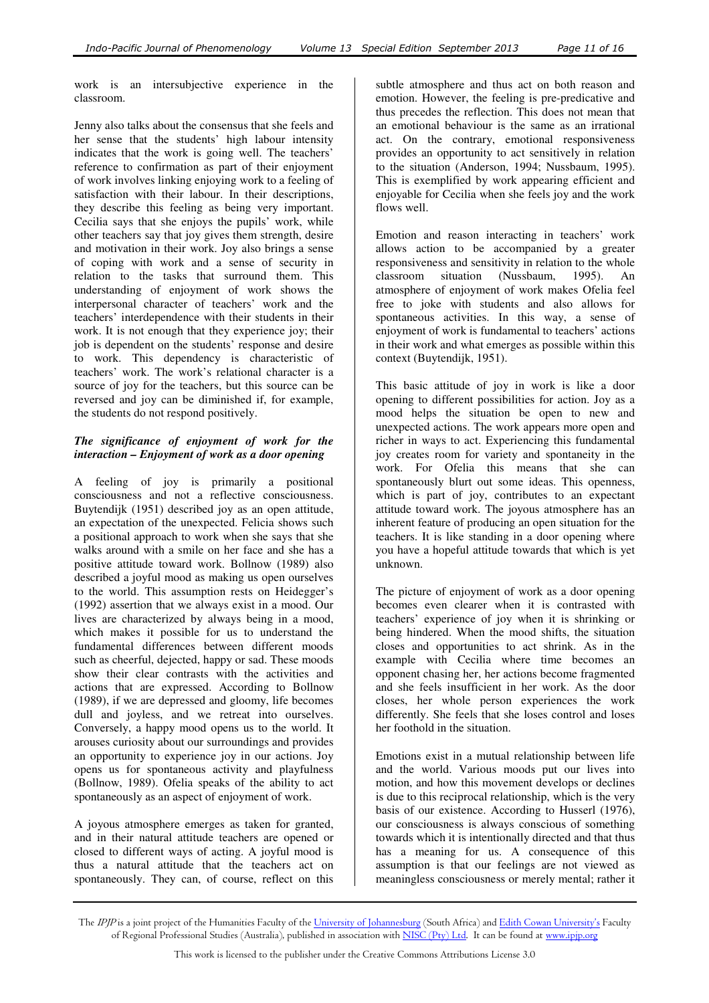work is an intersubjective experience in the classroom.

Jenny also talks about the consensus that she feels and her sense that the students' high labour intensity indicates that the work is going well. The teachers' reference to confirmation as part of their enjoyment of work involves linking enjoying work to a feeling of satisfaction with their labour. In their descriptions, they describe this feeling as being very important. Cecilia says that she enjoys the pupils' work, while other teachers say that joy gives them strength, desire and motivation in their work. Joy also brings a sense of coping with work and a sense of security in relation to the tasks that surround them. This understanding of enjoyment of work shows the interpersonal character of teachers' work and the teachers' interdependence with their students in their work. It is not enough that they experience joy; their job is dependent on the students' response and desire to work. This dependency is characteristic of teachers' work. The work's relational character is a source of joy for the teachers, but this source can be reversed and joy can be diminished if, for example, the students do not respond positively.

# *The significance of enjoyment of work for the interaction – Enjoyment of work as a door opening*

A feeling of joy is primarily a positional consciousness and not a reflective consciousness. Buytendijk (1951) described joy as an open attitude, an expectation of the unexpected. Felicia shows such a positional approach to work when she says that she walks around with a smile on her face and she has a positive attitude toward work. Bollnow (1989) also described a joyful mood as making us open ourselves to the world. This assumption rests on Heidegger's (1992) assertion that we always exist in a mood. Our lives are characterized by always being in a mood, which makes it possible for us to understand the fundamental differences between different moods such as cheerful, dejected, happy or sad. These moods show their clear contrasts with the activities and actions that are expressed. According to Bollnow (1989), if we are depressed and gloomy, life becomes dull and joyless, and we retreat into ourselves. Conversely, a happy mood opens us to the world. It arouses curiosity about our surroundings and provides an opportunity to experience joy in our actions. Joy opens us for spontaneous activity and playfulness (Bollnow, 1989). Ofelia speaks of the ability to act spontaneously as an aspect of enjoyment of work.

A joyous atmosphere emerges as taken for granted, and in their natural attitude teachers are opened or closed to different ways of acting. A joyful mood is thus a natural attitude that the teachers act on spontaneously. They can, of course, reflect on this

subtle atmosphere and thus act on both reason and emotion. However, the feeling is pre-predicative and thus precedes the reflection. This does not mean that an emotional behaviour is the same as an irrational act. On the contrary, emotional responsiveness provides an opportunity to act sensitively in relation to the situation (Anderson, 1994; Nussbaum, 1995). This is exemplified by work appearing efficient and enjoyable for Cecilia when she feels joy and the work flows well.

Emotion and reason interacting in teachers' work allows action to be accompanied by a greater responsiveness and sensitivity in relation to the whole classroom situation (Nussbaum, 1995). An atmosphere of enjoyment of work makes Ofelia feel free to joke with students and also allows for spontaneous activities. In this way, a sense of enjoyment of work is fundamental to teachers' actions in their work and what emerges as possible within this context (Buytendijk, 1951).

This basic attitude of joy in work is like a door opening to different possibilities for action. Joy as a mood helps the situation be open to new and unexpected actions. The work appears more open and richer in ways to act. Experiencing this fundamental joy creates room for variety and spontaneity in the work. For Ofelia this means that she can spontaneously blurt out some ideas. This openness, which is part of joy, contributes to an expectant attitude toward work. The joyous atmosphere has an inherent feature of producing an open situation for the teachers. It is like standing in a door opening where you have a hopeful attitude towards that which is yet unknown.

The picture of enjoyment of work as a door opening becomes even clearer when it is contrasted with teachers' experience of joy when it is shrinking or being hindered. When the mood shifts, the situation closes and opportunities to act shrink. As in the example with Cecilia where time becomes an opponent chasing her, her actions become fragmented and she feels insufficient in her work. As the door closes, her whole person experiences the work differently. She feels that she loses control and loses her foothold in the situation.

Emotions exist in a mutual relationship between life and the world. Various moods put our lives into motion, and how this movement develops or declines is due to this reciprocal relationship, which is the very basis of our existence. According to Husserl (1976), our consciousness is always conscious of something towards which it is intentionally directed and that thus has a meaning for us. A consequence of this assumption is that our feelings are not viewed as meaningless consciousness or merely mental; rather it

The IPJP is a joint project of the Humanities Faculty of the University of Johannesburg (South Africa) and Edith Cowan University's Faculty of Regional Professional Studies (Australia), published in association with NISC (Pty) Ltd. It can be found at www.ipjp.org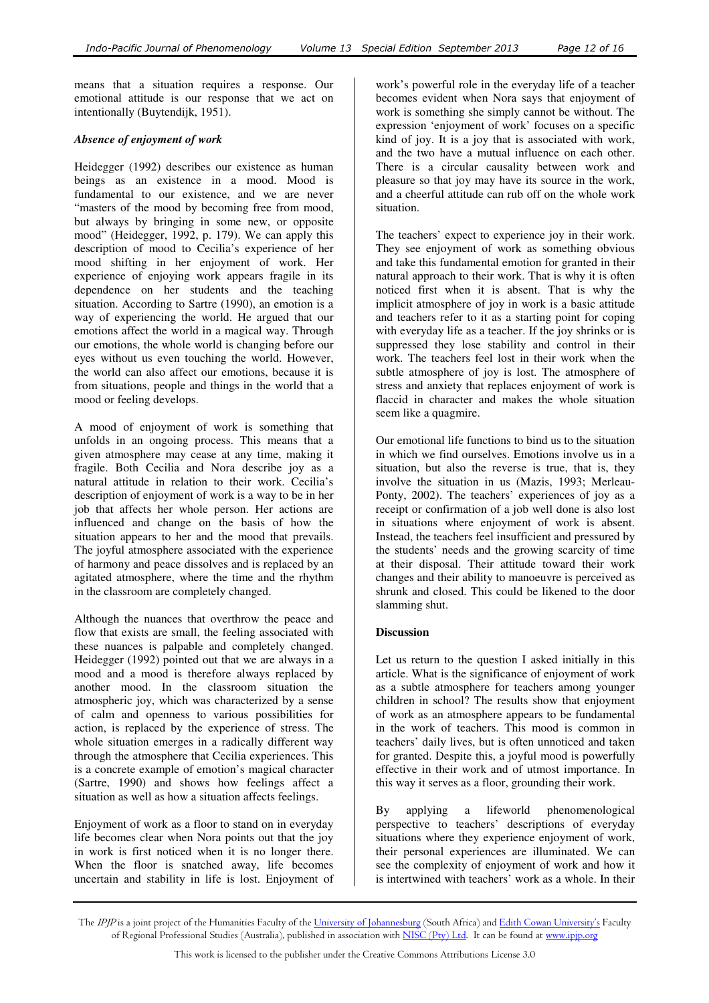means that a situation requires a response. Our emotional attitude is our response that we act on intentionally (Buytendijk, 1951).

## *Absence of enjoyment of work*

Heidegger (1992) describes our existence as human beings as an existence in a mood. Mood is fundamental to our existence, and we are never "masters of the mood by becoming free from mood, but always by bringing in some new, or opposite mood" (Heidegger, 1992, p. 179). We can apply this description of mood to Cecilia's experience of her mood shifting in her enjoyment of work. Her experience of enjoying work appears fragile in its dependence on her students and the teaching situation. According to Sartre (1990), an emotion is a way of experiencing the world. He argued that our emotions affect the world in a magical way. Through our emotions, the whole world is changing before our eyes without us even touching the world. However, the world can also affect our emotions, because it is from situations, people and things in the world that a mood or feeling develops.

A mood of enjoyment of work is something that unfolds in an ongoing process. This means that a given atmosphere may cease at any time, making it fragile. Both Cecilia and Nora describe joy as a natural attitude in relation to their work. Cecilia's description of enjoyment of work is a way to be in her job that affects her whole person. Her actions are influenced and change on the basis of how the situation appears to her and the mood that prevails. The joyful atmosphere associated with the experience of harmony and peace dissolves and is replaced by an agitated atmosphere, where the time and the rhythm in the classroom are completely changed.

Although the nuances that overthrow the peace and flow that exists are small, the feeling associated with these nuances is palpable and completely changed. Heidegger (1992) pointed out that we are always in a mood and a mood is therefore always replaced by another mood. In the classroom situation the atmospheric joy, which was characterized by a sense of calm and openness to various possibilities for action, is replaced by the experience of stress. The whole situation emerges in a radically different way through the atmosphere that Cecilia experiences. This is a concrete example of emotion's magical character (Sartre, 1990) and shows how feelings affect a situation as well as how a situation affects feelings.

Enjoyment of work as a floor to stand on in everyday life becomes clear when Nora points out that the joy in work is first noticed when it is no longer there. When the floor is snatched away, life becomes uncertain and stability in life is lost. Enjoyment of

work's powerful role in the everyday life of a teacher becomes evident when Nora says that enjoyment of work is something she simply cannot be without. The expression 'enjoyment of work' focuses on a specific kind of joy. It is a joy that is associated with work, and the two have a mutual influence on each other. There is a circular causality between work and pleasure so that joy may have its source in the work, and a cheerful attitude can rub off on the whole work situation.

The teachers' expect to experience joy in their work. They see enjoyment of work as something obvious and take this fundamental emotion for granted in their natural approach to their work. That is why it is often noticed first when it is absent. That is why the implicit atmosphere of joy in work is a basic attitude and teachers refer to it as a starting point for coping with everyday life as a teacher. If the joy shrinks or is suppressed they lose stability and control in their work. The teachers feel lost in their work when the subtle atmosphere of joy is lost. The atmosphere of stress and anxiety that replaces enjoyment of work is flaccid in character and makes the whole situation seem like a quagmire.

Our emotional life functions to bind us to the situation in which we find ourselves. Emotions involve us in a situation, but also the reverse is true, that is, they involve the situation in us (Mazis, 1993; Merleau-Ponty, 2002). The teachers' experiences of joy as a receipt or confirmation of a job well done is also lost in situations where enjoyment of work is absent. Instead, the teachers feel insufficient and pressured by the students' needs and the growing scarcity of time at their disposal. Their attitude toward their work changes and their ability to manoeuvre is perceived as shrunk and closed. This could be likened to the door slamming shut.

## **Discussion**

Let us return to the question I asked initially in this article. What is the significance of enjoyment of work as a subtle atmosphere for teachers among younger children in school? The results show that enjoyment of work as an atmosphere appears to be fundamental in the work of teachers. This mood is common in teachers' daily lives, but is often unnoticed and taken for granted. Despite this, a joyful mood is powerfully effective in their work and of utmost importance. In this way it serves as a floor, grounding their work.

By applying a lifeworld phenomenological perspective to teachers' descriptions of everyday situations where they experience enjoyment of work, their personal experiences are illuminated. We can see the complexity of enjoyment of work and how it is intertwined with teachers' work as a whole. In their

The *IPJP* is a joint project of the Humanities Faculty of the <u>University of Johannesburg</u> (South Africa) and <u>Edith Cowan University's</u> Faculty of Regional Professional Studies (Australia), published in association with <u>NISC (Pty) Ltd</u>. It can be found at <u>www.ipjp.org</u>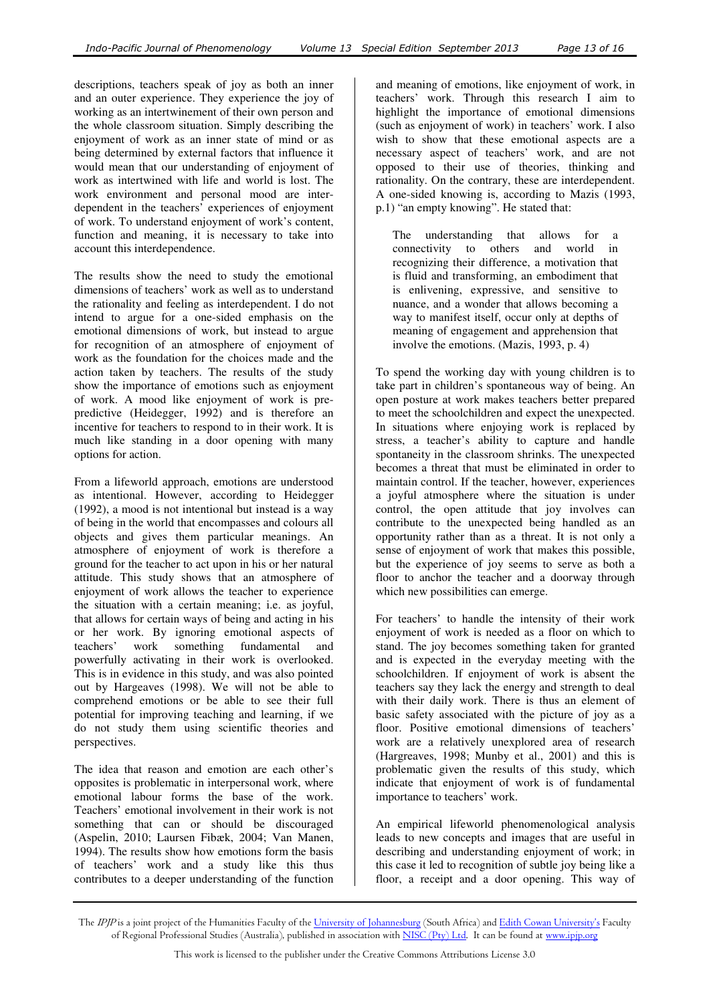descriptions, teachers speak of joy as both an inner and an outer experience. They experience the joy of working as an intertwinement of their own person and the whole classroom situation. Simply describing the enjoyment of work as an inner state of mind or as being determined by external factors that influence it would mean that our understanding of enjoyment of work as intertwined with life and world is lost. The work environment and personal mood are interdependent in the teachers' experiences of enjoyment of work. To understand enjoyment of work's content, function and meaning, it is necessary to take into account this interdependence.

The results show the need to study the emotional dimensions of teachers' work as well as to understand the rationality and feeling as interdependent. I do not intend to argue for a one-sided emphasis on the emotional dimensions of work, but instead to argue for recognition of an atmosphere of enjoyment of work as the foundation for the choices made and the action taken by teachers. The results of the study show the importance of emotions such as enjoyment of work. A mood like enjoyment of work is prepredictive (Heidegger, 1992) and is therefore an incentive for teachers to respond to in their work. It is much like standing in a door opening with many options for action.

From a lifeworld approach, emotions are understood as intentional. However, according to Heidegger (1992), a mood is not intentional but instead is a way of being in the world that encompasses and colours all objects and gives them particular meanings. An atmosphere of enjoyment of work is therefore a ground for the teacher to act upon in his or her natural attitude. This study shows that an atmosphere of enjoyment of work allows the teacher to experience the situation with a certain meaning; i.e. as joyful, that allows for certain ways of being and acting in his or her work. By ignoring emotional aspects of teachers' work something fundamental and powerfully activating in their work is overlooked. This is in evidence in this study, and was also pointed out by Hargeaves (1998). We will not be able to comprehend emotions or be able to see their full potential for improving teaching and learning, if we do not study them using scientific theories and perspectives.

The idea that reason and emotion are each other's opposites is problematic in interpersonal work, where emotional labour forms the base of the work. Teachers' emotional involvement in their work is not something that can or should be discouraged (Aspelin, 2010; Laursen Fibæk, 2004; Van Manen, 1994). The results show how emotions form the basis of teachers' work and a study like this thus contributes to a deeper understanding of the function

and meaning of emotions, like enjoyment of work, in teachers' work. Through this research I aim to highlight the importance of emotional dimensions (such as enjoyment of work) in teachers' work. I also wish to show that these emotional aspects are a necessary aspect of teachers' work, and are not opposed to their use of theories, thinking and rationality. On the contrary, these are interdependent. A one-sided knowing is, according to Mazis (1993, p.1) "an empty knowing". He stated that:

The understanding that allows for a connectivity to others and world in recognizing their difference, a motivation that is fluid and transforming, an embodiment that is enlivening, expressive, and sensitive to nuance, and a wonder that allows becoming a way to manifest itself, occur only at depths of meaning of engagement and apprehension that involve the emotions. (Mazis, 1993, p. 4)

To spend the working day with young children is to take part in children's spontaneous way of being. An open posture at work makes teachers better prepared to meet the schoolchildren and expect the unexpected. In situations where enjoying work is replaced by stress, a teacher's ability to capture and handle spontaneity in the classroom shrinks. The unexpected becomes a threat that must be eliminated in order to maintain control. If the teacher, however, experiences a joyful atmosphere where the situation is under control, the open attitude that joy involves can contribute to the unexpected being handled as an opportunity rather than as a threat. It is not only a sense of enjoyment of work that makes this possible, but the experience of joy seems to serve as both a floor to anchor the teacher and a doorway through which new possibilities can emerge.

For teachers' to handle the intensity of their work enjoyment of work is needed as a floor on which to stand. The joy becomes something taken for granted and is expected in the everyday meeting with the schoolchildren. If enjoyment of work is absent the teachers say they lack the energy and strength to deal with their daily work. There is thus an element of basic safety associated with the picture of joy as a floor. Positive emotional dimensions of teachers' work are a relatively unexplored area of research (Hargreaves, 1998; Munby et al., 2001) and this is problematic given the results of this study, which indicate that enjoyment of work is of fundamental importance to teachers' work.

An empirical lifeworld phenomenological analysis leads to new concepts and images that are useful in describing and understanding enjoyment of work; in this case it led to recognition of subtle joy being like a floor, a receipt and a door opening. This way of

The IPJP is a joint project of the Humanities Faculty of the University of Johannesburg (South Africa) and Edith Cowan University's Faculty of Regional Professional Studies (Australia), published in association with NISC (Pty) Ltd. It can be found at www.ipjp.org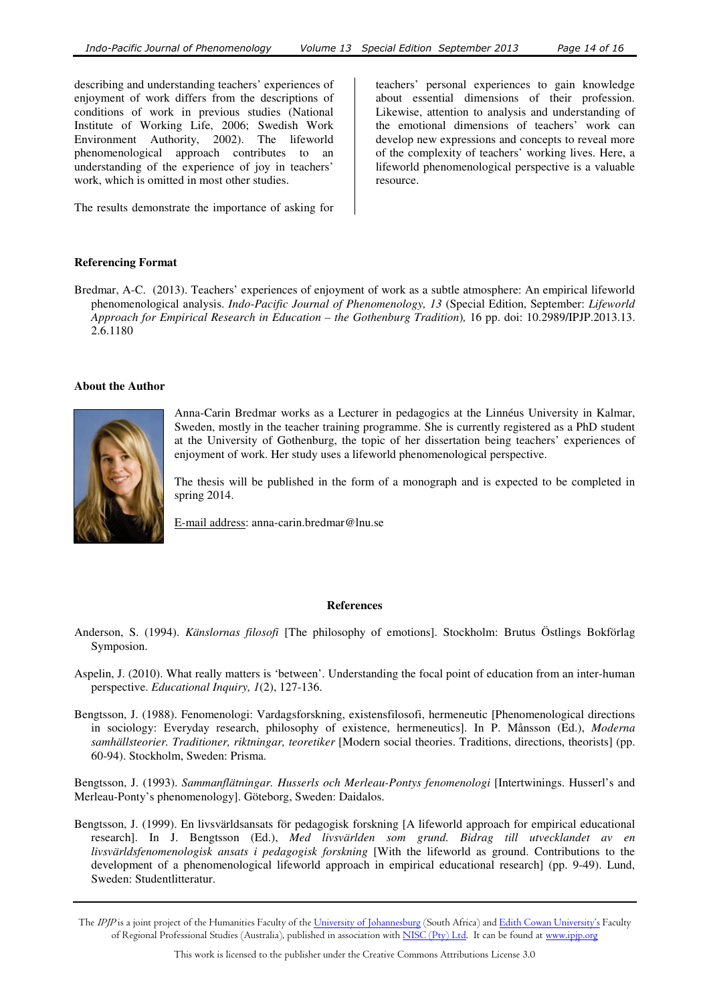describing and understanding teachers' experiences of enjoyment of work differs from the descriptions of conditions of work in previous studies (National Institute of Working Life, 2006; Swedish Work Environment Authority, 2002). The lifeworld phenomenological approach contributes to an understanding of the experience of joy in teachers' work, which is omitted in most other studies.

The results demonstrate the importance of asking for

teachers' personal experiences to gain knowledge about essential dimensions of their profession. Likewise, attention to analysis and understanding of the emotional dimensions of teachers' work can develop new expressions and concepts to reveal more of the complexity of teachers' working lives. Here, a lifeworld phenomenological perspective is a valuable resource.

#### **Referencing Format**

Bredmar, A-C. (2013). Teachers' experiences of enjoyment of work as a subtle atmosphere: An empirical lifeworld phenomenological analysis. *Indo-Pacific Journal of Phenomenology, 13* (Special Edition, September: *Lifeworld Approach for Empirical Research in Education – the Gothenburg Tradition*)*,* 16 pp. doi: 10.2989/IPJP.2013.13. 2.6.1180

#### **About the Author**



Anna-Carin Bredmar works as a Lecturer in pedagogics at the Linnéus University in Kalmar, Sweden, mostly in the teacher training programme. She is currently registered as a PhD student at the University of Gothenburg, the topic of her dissertation being teachers' experiences of enjoyment of work. Her study uses a lifeworld phenomenological perspective.

The thesis will be published in the form of a monograph and is expected to be completed in spring 2014.

E-mail address: anna-carin.bredmar@lnu.se

#### **References**

- Anderson, S. (1994). *Känslornas filosofi* [The philosophy of emotions]. Stockholm: Brutus Östlings Bokförlag Symposion.
- Aspelin, J. (2010). What really matters is 'between'. Understanding the focal point of education from an inter-human perspective. *Educational Inquiry, 1*(2), 127-136.
- Bengtsson, J. (1988). Fenomenologi: Vardagsforskning, existensfilosofi, hermeneutic [Phenomenological directions in sociology: Everyday research, philosophy of existence, hermeneutics]. In P. Månsson (Ed.), *Moderna samhällsteorier. Traditioner, riktningar, teoretiker* [Modern social theories. Traditions, directions, theorists] (pp. 60-94). Stockholm, Sweden: Prisma.

Bengtsson, J. (1993). *Sammanflätningar. Husserls och Merleau-Pontys fenomenologi* [Intertwinings. Husserl's and Merleau-Ponty's phenomenology]. Göteborg, Sweden: Daidalos.

Bengtsson, J. (1999). En livsvärldsansats för pedagogisk forskning [A lifeworld approach for empirical educational research]. In J. Bengtsson (Ed.), *Med livsvärlden som grund. Bidrag till utvecklandet av en livsvärldsfenomenologisk ansats i pedagogisk forskning* [With the lifeworld as ground. Contributions to the development of a phenomenological lifeworld approach in empirical educational research] (pp. 9-49). Lund, Sweden: Studentlitteratur.

The IPJP is a joint project of the Humanities Faculty of the University of Johannesburg (South Africa) and Edith Cowan University's Faculty of Regional Professional Studies (Australia), published in association with NISC (Pty) Ltd. It can be found at www.ipjp.org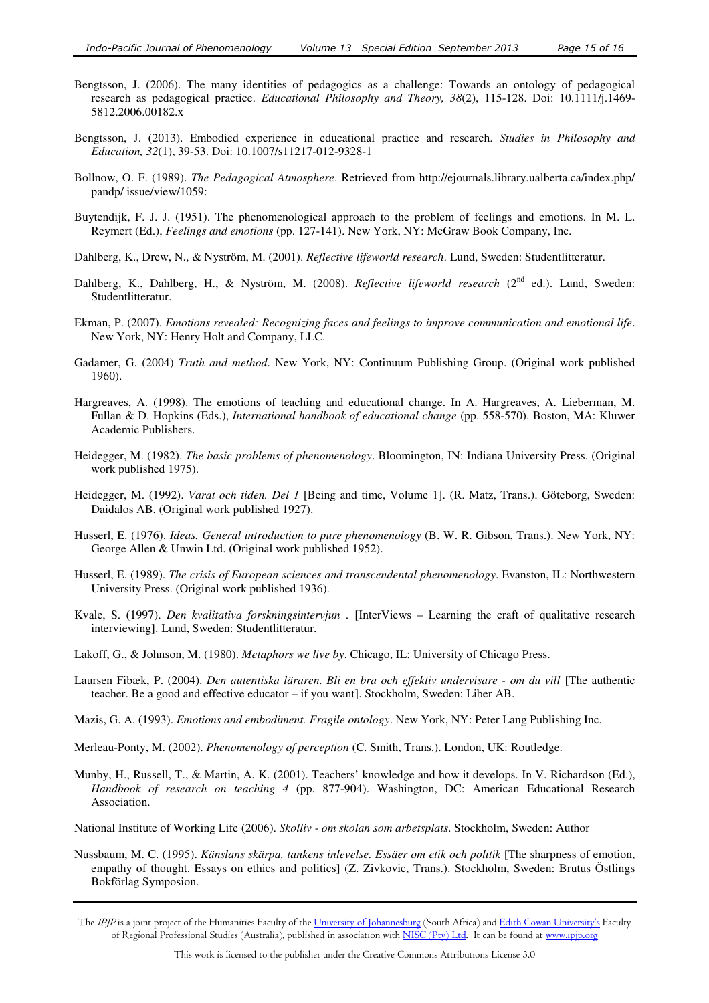- Bengtsson, J. (2006). The many identities of pedagogics as a challenge: Towards an ontology of pedagogical research as pedagogical practice. *Educational Philosophy and Theory, 38*(2), 115-128. Doi: 10.1111/j.1469- 5812.2006.00182.x
- Bengtsson, J. (2013). Embodied experience in educational practice and research. *Studies in Philosophy and Education, 32*(1), 39-53. Doi: 10.1007/s11217-012-9328-1
- Bollnow, O. F. (1989). *The Pedagogical Atmosphere*. Retrieved from http://ejournals.library.ualberta.ca/index.php/ pandp/ issue/view/1059:
- Buytendijk, F. J. J. (1951). The phenomenological approach to the problem of feelings and emotions. In M. L. Reymert (Ed.), *Feelings and emotions* (pp. 127-141). New York, NY: McGraw Book Company, Inc.
- Dahlberg, K., Drew, N., & Nyström, M. (2001). *Reflective lifeworld research*. Lund, Sweden: Studentlitteratur.
- Dahlberg, K., Dahlberg, H., & Nyström, M. (2008). *Reflective lifeworld research* (2<sup>nd</sup> ed.). Lund, Sweden: Studentlitteratur.
- Ekman, P. (2007). *Emotions revealed: Recognizing faces and feelings to improve communication and emotional life*. New York, NY: Henry Holt and Company, LLC.
- Gadamer, G. (2004) *Truth and method*. New York, NY: Continuum Publishing Group. (Original work published 1960).
- Hargreaves, A. (1998). The emotions of teaching and educational change. In A. Hargreaves, A. Lieberman, M. Fullan & D. Hopkins (Eds.), *International handbook of educational change* (pp. 558-570). Boston, MA: Kluwer Academic Publishers.
- Heidegger, M. (1982). *The basic problems of phenomenology*. Bloomington, IN: Indiana University Press. (Original work published 1975).
- Heidegger, M. (1992). *Varat och tiden. Del 1* [Being and time, Volume 1]. (R. Matz, Trans.). Göteborg, Sweden: Daidalos AB. (Original work published 1927).
- Husserl, E. (1976). *Ideas. General introduction to pure phenomenology* (B. W. R. Gibson, Trans.). New York, NY: George Allen & Unwin Ltd. (Original work published 1952).
- Husserl, E. (1989). *The crisis of European sciences and transcendental phenomenology*. Evanston, IL: Northwestern University Press. (Original work published 1936).
- Kvale, S. (1997). *Den kvalitativa forskningsintervjun* . [InterViews Learning the craft of qualitative research interviewing]. Lund, Sweden: Studentlitteratur.
- Lakoff, G., & Johnson, M. (1980). *Metaphors we live by*. Chicago, IL: University of Chicago Press.
- Laursen Fibæk, P. (2004). *Den autentiska läraren. Bli en bra och effektiv undervisare om du vill* [The authentic teacher. Be a good and effective educator – if you want]. Stockholm, Sweden: Liber AB.
- Mazis, G. A. (1993). *Emotions and embodiment. Fragile ontology*. New York, NY: Peter Lang Publishing Inc.
- Merleau-Ponty, M. (2002). *Phenomenology of perception* (C. Smith, Trans.). London, UK: Routledge.
- Munby, H., Russell, T., & Martin, A. K. (2001). Teachers' knowledge and how it develops. In V. Richardson (Ed.), *Handbook of research on teaching 4* (pp. 877-904). Washington, DC: American Educational Research Association.
- National Institute of Working Life (2006). *Skolliv om skolan som arbetsplats*. Stockholm, Sweden: Author
- Nussbaum, M. C. (1995). *Känslans skärpa, tankens inlevelse. Essäer om etik och politik* [The sharpness of emotion, empathy of thought. Essays on ethics and politics] (Z. Zivkovic, Trans.). Stockholm, Sweden: Brutus Östlings Bokförlag Symposion.
- The IPJP is a joint project of the Humanities Faculty of the University of Johannesburg (South Africa) and Edith Cowan University's Faculty of Regional Professional Studies (Australia), published in association with NISC (Pty) Ltd. It can be found at www.ipjp.org